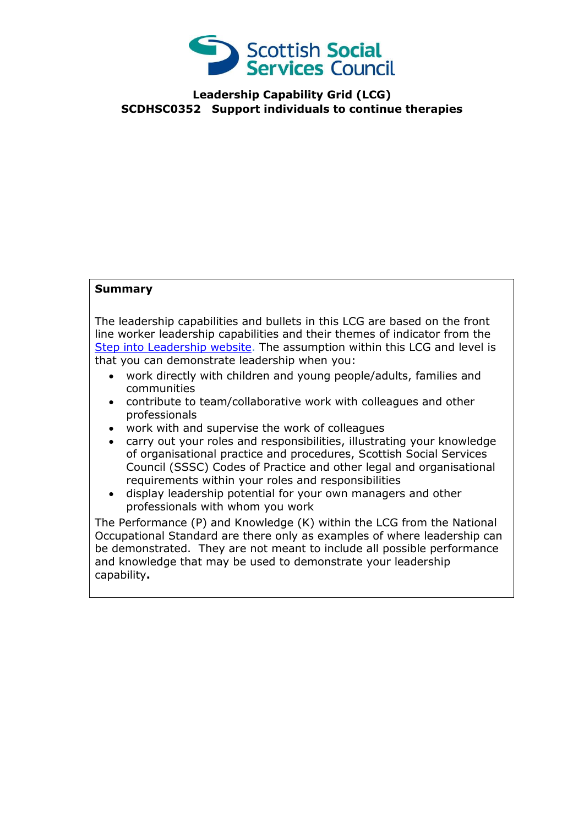

**Leadership Capability Grid (LCG) SCDHSC0352 Support individuals to continue therapies**

## **Summary**

The leadership capabilities and bullets in this LCG are based on the front line worker leadership capabilities and their themes of indicator from the [Step into Leadership website.](http://www.stepintoleadership.info/) The assumption within this LCG and level is that you can demonstrate leadership when you:

- work directly with children and young people/adults, families and communities
- contribute to team/collaborative work with colleagues and other professionals
- work with and supervise the work of colleagues
- carry out your roles and responsibilities, illustrating your knowledge of organisational practice and procedures, Scottish Social Services Council (SSSC) Codes of Practice and other legal and organisational requirements within your roles and responsibilities
- display leadership potential for your own managers and other professionals with whom you work

The Performance (P) and Knowledge (K) within the LCG from the National Occupational Standard are there only as examples of where leadership can be demonstrated. They are not meant to include all possible performance and knowledge that may be used to demonstrate your leadership capability**.**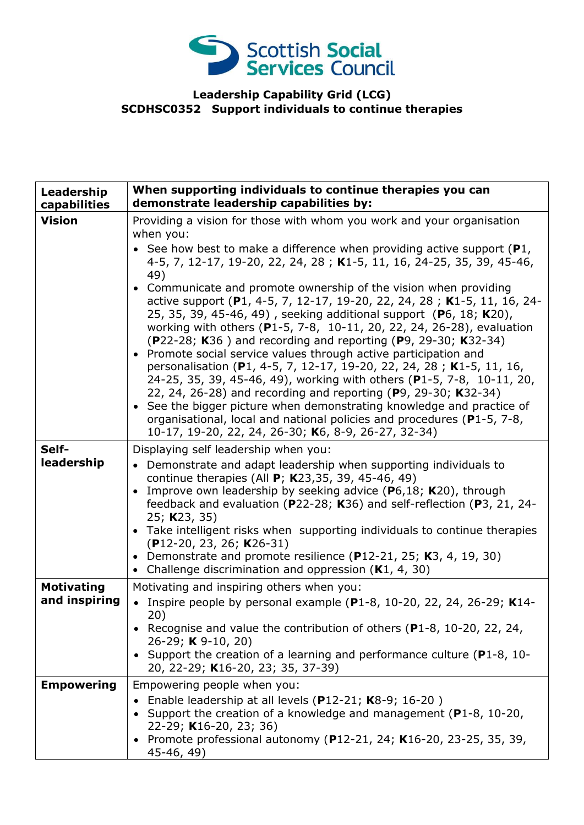

## **Leadership Capability Grid (LCG) SCDHSC0352 Support individuals to continue therapies**

| Leadership<br>capabilities         | When supporting individuals to continue therapies you can<br>demonstrate leadership capabilities by:                                                                                                                                                                                                                                                                                                                                                                                                                                                                                                                                                                                                                                                                                                                                                        |
|------------------------------------|-------------------------------------------------------------------------------------------------------------------------------------------------------------------------------------------------------------------------------------------------------------------------------------------------------------------------------------------------------------------------------------------------------------------------------------------------------------------------------------------------------------------------------------------------------------------------------------------------------------------------------------------------------------------------------------------------------------------------------------------------------------------------------------------------------------------------------------------------------------|
| <b>Vision</b>                      | Providing a vision for those with whom you work and your organisation<br>when you:                                                                                                                                                                                                                                                                                                                                                                                                                                                                                                                                                                                                                                                                                                                                                                          |
|                                    | • See how best to make a difference when providing active support $(P1,$<br>4-5, 7, 12-17, 19-20, 22, 24, 28; K1-5, 11, 16, 24-25, 35, 39, 45-46,<br>49)                                                                                                                                                                                                                                                                                                                                                                                                                                                                                                                                                                                                                                                                                                    |
|                                    | • Communicate and promote ownership of the vision when providing<br>active support (P1, 4-5, 7, 12-17, 19-20, 22, 24, 28; K1-5, 11, 16, 24-<br>25, 35, 39, 45-46, 49), seeking additional support (P6, 18; K20),<br>working with others (P1-5, 7-8, 10-11, 20, 22, 24, 26-28), evaluation<br>(P22-28; K36) and recording and reporting (P9, 29-30; K32-34)<br>• Promote social service values through active participation and<br>personalisation (P1, 4-5, 7, 12-17, 19-20, 22, 24, 28; K1-5, 11, 16,<br>24-25, 35, 39, 45-46, 49), working with others (P1-5, 7-8, 10-11, 20,<br>22, 24, 26-28) and recording and reporting (P9, 29-30; K32-34)<br>• See the bigger picture when demonstrating knowledge and practice of<br>organisational, local and national policies and procedures (P1-5, 7-8,<br>10-17, 19-20, 22, 24, 26-30; K6, 8-9, 26-27, 32-34) |
| Self-<br>leadership                | Displaying self leadership when you:<br>• Demonstrate and adapt leadership when supporting individuals to<br>continue therapies (All P; K23,35, 39, 45-46, 49)<br>Improve own leadership by seeking advice ( $P6,18$ ; K20), through<br>$\bullet$<br>feedback and evaluation (P22-28; K36) and self-reflection (P3, 21, 24-<br>25; K23, 35)<br>• Take intelligent risks when supporting individuals to continue therapies<br>$(P12-20, 23, 26; K26-31)$<br>• Demonstrate and promote resilience (P12-21, 25; K3, 4, 19, 30)<br>Challenge discrimination and oppression $(K1, 4, 30)$                                                                                                                                                                                                                                                                        |
| <b>Motivating</b><br>and inspiring | Motivating and inspiring others when you:<br>Inspire people by personal example (P1-8, 10-20, 22, 24, 26-29; K14-                                                                                                                                                                                                                                                                                                                                                                                                                                                                                                                                                                                                                                                                                                                                           |
|                                    | 20)<br>• Recognise and value the contribution of others ( $P1-8$ , 10-20, 22, 24,<br>26-29; K 9-10, 20)<br>• Support the creation of a learning and performance culture (P1-8, 10-<br>20, 22-29; K16-20, 23; 35, 37-39)                                                                                                                                                                                                                                                                                                                                                                                                                                                                                                                                                                                                                                     |
| <b>Empowering</b>                  | Empowering people when you:<br>Enable leadership at all levels (P12-21; K8-9; 16-20)                                                                                                                                                                                                                                                                                                                                                                                                                                                                                                                                                                                                                                                                                                                                                                        |
|                                    | Support the creation of a knowledge and management (P1-8, 10-20,<br>22-29; K16-20, 23; 36)<br>• Promote professional autonomy (P12-21, 24; K16-20, 23-25, 35, 39,<br>45-46, 49)                                                                                                                                                                                                                                                                                                                                                                                                                                                                                                                                                                                                                                                                             |